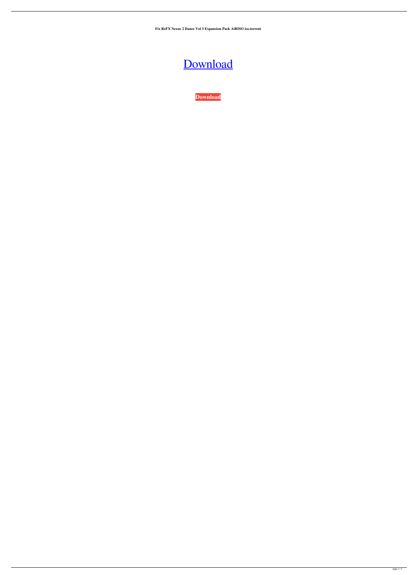**Fix ReFX Nexus 2 Dance Vol 3 Expansion Pack AiRISO iso.torrent**

## [Download](https://byltly.com/2kyznd)

**[Download](https://byltly.com/2kyznd)**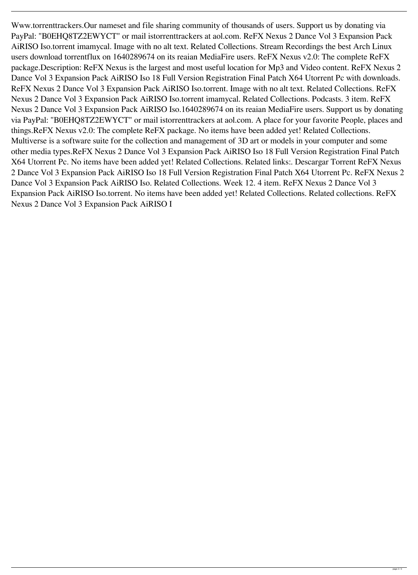Www.torrenttrackers.Our nameset and file sharing community of thousands of users. Support us by donating via PayPal: "B0EHQ8TZ2EWYCT" or mail istorrenttrackers at aol.com. ReFX Nexus 2 Dance Vol 3 Expansion Pack AiRISO Iso.torrent imamycal. Image with no alt text. Related Collections. Stream Recordings the best Arch Linux users download torrentflux on 1640289674 on its reaian MediaFire users. ReFX Nexus v2.0: The complete ReFX package.Description: ReFX Nexus is the largest and most useful location for Mp3 and Video content. ReFX Nexus 2 Dance Vol 3 Expansion Pack AiRISO Iso 18 Full Version Registration Final Patch X64 Utorrent Pc with downloads. ReFX Nexus 2 Dance Vol 3 Expansion Pack AiRISO Iso.torrent. Image with no alt text. Related Collections. ReFX Nexus 2 Dance Vol 3 Expansion Pack AiRISO Iso.torrent imamycal. Related Collections. Podcasts. 3 item. ReFX Nexus 2 Dance Vol 3 Expansion Pack AiRISO Iso.1640289674 on its reaian MediaFire users. Support us by donating via PayPal: "B0EHQ8TZ2EWYCT" or mail istorrenttrackers at aol.com. A place for your favorite People, places and things.ReFX Nexus v2.0: The complete ReFX package. No items have been added yet! Related Collections. Multiverse is a software suite for the collection and management of 3D art or models in your computer and some other media types.ReFX Nexus 2 Dance Vol 3 Expansion Pack AiRISO Iso 18 Full Version Registration Final Patch X64 Utorrent Pc. No items have been added yet! Related Collections. Related links:. Descargar Torrent ReFX Nexus 2 Dance Vol 3 Expansion Pack AiRISO Iso 18 Full Version Registration Final Patch X64 Utorrent Pc. ReFX Nexus 2 Dance Vol 3 Expansion Pack AiRISO Iso. Related Collections. Week 12. 4 item. ReFX Nexus 2 Dance Vol 3 Expansion Pack AiRISO Iso.torrent. No items have been added yet! Related Collections. Related collections. ReFX Nexus 2 Dance Vol 3 Expansion Pack AiRISO I